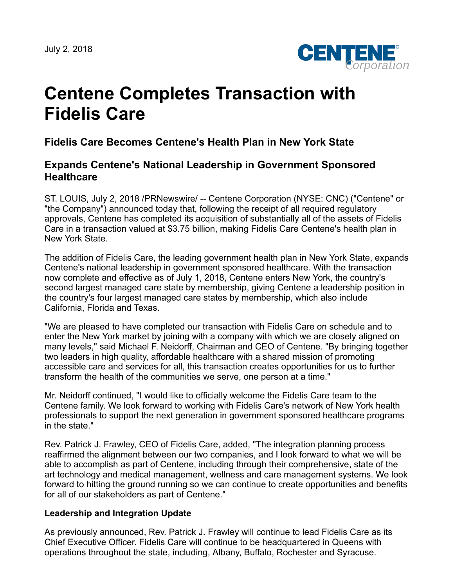

# **Centene Completes Transaction with Fidelis Care**

**Fidelis Care Becomes Centene's Health Plan in New York State**

## **Expands Centene's National Leadership in Government Sponsored Healthcare**

ST. LOUIS, July 2, 2018 /PRNewswire/ -- Centene Corporation (NYSE: CNC) ("Centene" or "the Company") announced today that, following the receipt of all required regulatory approvals, Centene has completed its acquisition of substantially all of the assets of Fidelis Care in a transaction valued at \$3.75 billion, making Fidelis Care Centene's health plan in New York State.

The addition of Fidelis Care, the leading government health plan in New York State, expands Centene's national leadership in government sponsored healthcare. With the transaction now complete and effective as of July 1, 2018, Centene enters New York, the country's second largest managed care state by membership, giving Centene a leadership position in the country's four largest managed care states by membership, which also include California, Florida and Texas.

"We are pleased to have completed our transaction with Fidelis Care on schedule and to enter the New York market by joining with a company with which we are closely aligned on many levels," said Michael F. Neidorff, Chairman and CEO of Centene. "By bringing together two leaders in high quality, affordable healthcare with a shared mission of promoting accessible care and services for all, this transaction creates opportunities for us to further transform the health of the communities we serve, one person at a time."

Mr. Neidorff continued, "I would like to officially welcome the Fidelis Care team to the Centene family. We look forward to working with Fidelis Care's network of New York health professionals to support the next generation in government sponsored healthcare programs in the state."

Rev. Patrick J. Frawley, CEO of Fidelis Care, added, "The integration planning process reaffirmed the alignment between our two companies, and I look forward to what we will be able to accomplish as part of Centene, including through their comprehensive, state of the art technology and medical management, wellness and care management systems. We look forward to hitting the ground running so we can continue to create opportunities and benefits for all of our stakeholders as part of Centene."

### **Leadership and Integration Update**

As previously announced, Rev. Patrick J. Frawley will continue to lead Fidelis Care as its Chief Executive Officer. Fidelis Care will continue to be headquartered in Queens with operations throughout the state, including, Albany, Buffalo, Rochester and Syracuse.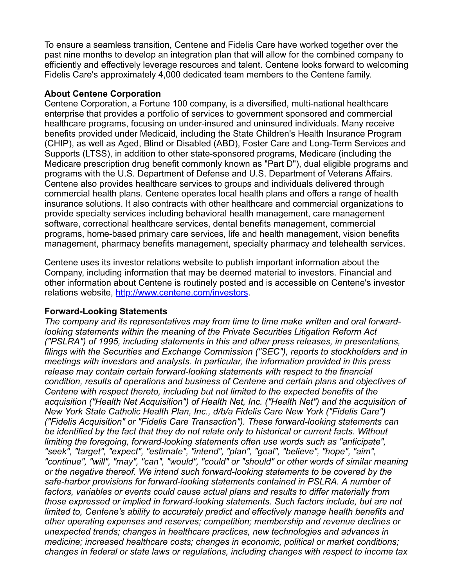To ensure a seamless transition, Centene and Fidelis Care have worked together over the past nine months to develop an integration plan that will allow for the combined company to efficiently and effectively leverage resources and talent. Centene looks forward to welcoming Fidelis Care's approximately 4,000 dedicated team members to the Centene family.

#### **About Centene Corporation**

Centene Corporation, a Fortune 100 company, is a diversified, multi-national healthcare enterprise that provides a portfolio of services to government sponsored and commercial healthcare programs, focusing on under-insured and uninsured individuals. Many receive benefits provided under Medicaid, including the State Children's Health Insurance Program (CHIP), as well as Aged, Blind or Disabled (ABD), Foster Care and Long-Term Services and Supports (LTSS), in addition to other state-sponsored programs, Medicare (including the Medicare prescription drug benefit commonly known as "Part D"), dual eligible programs and programs with the U.S. Department of Defense and U.S. Department of Veterans Affairs. Centene also provides healthcare services to groups and individuals delivered through commercial health plans. Centene operates local health plans and offers a range of health insurance solutions. It also contracts with other healthcare and commercial organizations to provide specialty services including behavioral health management, care management software, correctional healthcare services, dental benefits management, commercial programs, home-based primary care services, life and health management, vision benefits management, pharmacy benefits management, specialty pharmacy and telehealth services.

Centene uses its investor relations website to publish important information about the Company, including information that may be deemed material to investors. Financial and other information about Centene is routinely posted and is accessible on Centene's investor relations website, <http://www.centene.com/investors>.

### **Forward-Looking Statements**

*The company and its representatives may from time to time make written and oral forwardlooking statements within the meaning of the Private Securities Litigation Reform Act ("PSLRA") of 1995, including statements in this and other press releases, in presentations, filings with the Securities and Exchange Commission ("SEC"), reports to stockholders and in meetings with investors and analysts. In particular, the information provided in this press release may contain certain forward-looking statements with respect to the financial condition, results of operations and business of Centene and certain plans and objectives of Centene with respect thereto, including but not limited to the expected benefits of the acquisition ("Health Net Acquisition") of Health Net, Inc. ("Health Net") and the acquisition of New York State Catholic Health Plan, Inc., d/b/a Fidelis Care New York ("Fidelis Care") ("Fidelis Acquisition" or "Fidelis Care Transaction"). These forward-looking statements can be identified by the fact that they do not relate only to historical or current facts. Without limiting the foregoing, forward-looking statements often use words such as "anticipate", "seek", "target", "expect", "estimate", "intend", "plan", "goal", "believe", "hope", "aim", "continue", "will", "may", "can", "would", "could" or "should" or other words of similar meaning or the negative thereof. We intend such forward-looking statements to be covered by the safe-harbor provisions for forward-looking statements contained in PSLRA. A number of factors, variables or events could cause actual plans and results to differ materially from those expressed or implied in forward-looking statements. Such factors include, but are not limited to, Centene's ability to accurately predict and effectively manage health benefits and other operating expenses and reserves; competition; membership and revenue declines or unexpected trends; changes in healthcare practices, new technologies and advances in medicine; increased healthcare costs; changes in economic, political or market conditions; changes in federal or state laws or regulations, including changes with respect to income tax*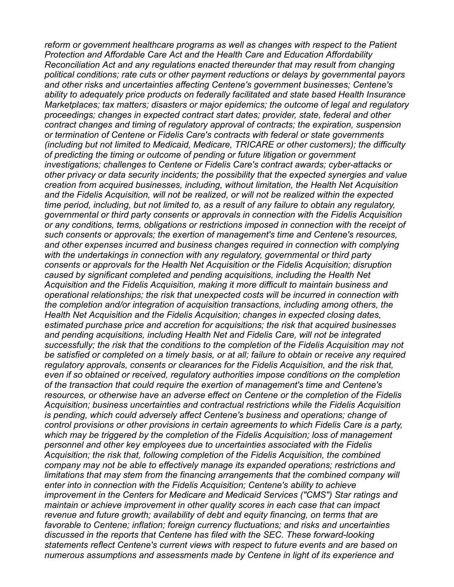*reform or government healthcare programs as well as changes with respect to the Patient Protection and Affordable Care Act and the Health Care and Education Affordability Reconciliation Act and any regulations enacted thereunder that may result from changing political conditions; rate cuts or other payment reductions or delays by governmental payors and other risks and uncertainties affecting Centene's government businesses; Centene's ability to adequately price products on federally facilitated and state based Health Insurance Marketplaces; tax matters; disasters or major epidemics; the outcome of legal and regulatory proceedings; changes in expected contract start dates; provider, state, federal and other contract changes and timing of regulatory approval of contracts; the expiration, suspension or termination of Centene or Fidelis Care's contracts with federal or state governments (including but not limited to Medicaid, Medicare, TRICARE or other customers); the difficulty of predicting the timing or outcome of pending or future litigation or government investigations; challenges to Centene or Fidelis Care's contract awards; cyber-attacks or other privacy or data security incidents; the possibility that the expected synergies and value creation from acquired businesses, including, without limitation, the Health Net Acquisition and the Fidelis Acquisition, will not be realized, or will not be realized within the expected time period, including, but not limited to, as a result of any failure to obtain any regulatory, governmental or third party consents or approvals in connection with the Fidelis Acquisition or any conditions, terms, obligations or restrictions imposed in connection with the receipt of such consents or approvals; the exertion of management's time and Centene's resources, and other expenses incurred and business changes required in connection with complying with the undertakings in connection with any regulatory, governmental or third party consents or approvals for the Health Net Acquisition or the Fidelis Acquisition; disruption caused by significant completed and pending acquisitions, including the Health Net Acquisition and the Fidelis Acquisition, making it more difficult to maintain business and operational relationships; the risk that unexpected costs will be incurred in connection with the completion and/or integration of acquisition transactions, including among others, the Health Net Acquisition and the Fidelis Acquisition; changes in expected closing dates, estimated purchase price and accretion for acquisitions; the risk that acquired businesses and pending acquisitions, including Health Net and Fidelis Care, will not be integrated successfully; the risk that the conditions to the completion of the Fidelis Acquisition may not be satisfied or completed on a timely basis, or at all; failure to obtain or receive any required regulatory approvals, consents or clearances for the Fidelis Acquisition, and the risk that, even if so obtained or received, regulatory authorities impose conditions on the completion of the transaction that could require the exertion of management's time and Centene's resources, or otherwise have an adverse effect on Centene or the completion of the Fidelis Acquisition; business uncertainties and contractual restrictions while the Fidelis Acquisition is pending, which could adversely affect Centene's business and operations; change of control provisions or other provisions in certain agreements to which Fidelis Care is a party, which may be triggered by the completion of the Fidelis Acquisition; loss of management personnel and other key employees due to uncertainties associated with the Fidelis Acquisition; the risk that, following completion of the Fidelis Acquisition, the combined company may not be able to effectively manage its expanded operations; restrictions and limitations that may stem from the financing arrangements that the combined company will enter into in connection with the Fidelis Acquisition; Centene's ability to achieve improvement in the Centers for Medicare and Medicaid Services ("CMS") Star ratings and maintain or achieve improvement in other quality scores in each case that can impact revenue and future growth; availability of debt and equity financing, on terms that are favorable to Centene; inflation; foreign currency fluctuations; and risks and uncertainties discussed in the reports that Centene has filed with the SEC. These forward-looking statements reflect Centene's current views with respect to future events and are based on numerous assumptions and assessments made by Centene in light of its experience and*